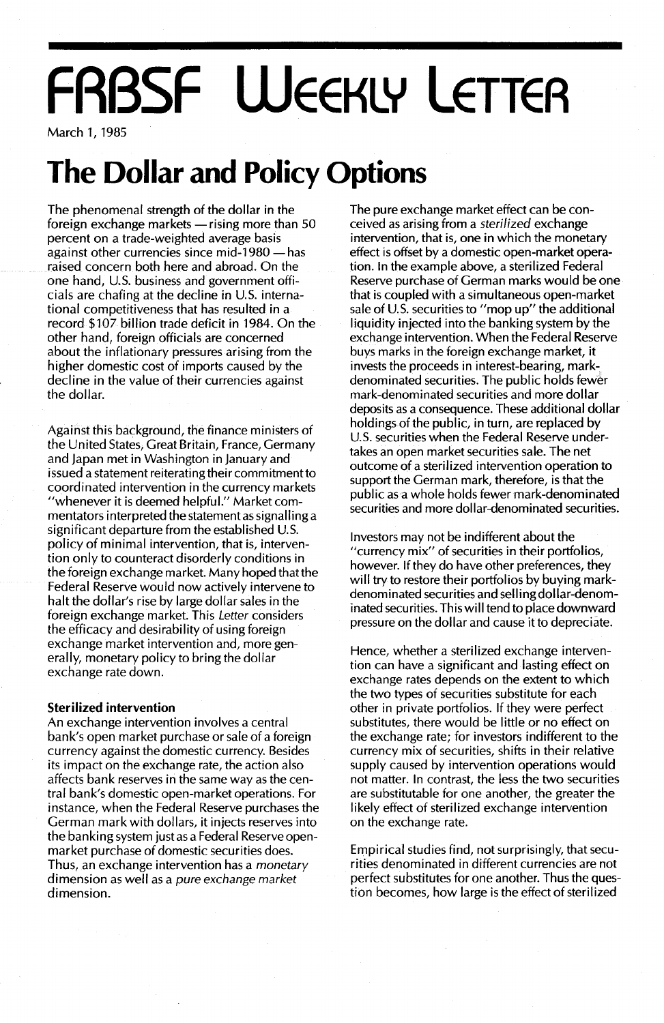# **FRBSF WEEKLY LETTER**

March 1, 1985

### **The Dollar and Policy Options**

The phenomenal strength of the dollar in the foreign exchange markets  $-$  rising more than 50 percent on a trade-weighted average basis against other currencies since mid-1980  $-$  has raised concern both here and abroad. On the one hand, U.S. business and government officials are chafing at the decline in U.S. international competitiveness that has resulted in a record \$107 billion trade deficit in 1984. On the other hand, foreign officials are concerned about the inflationary pressures arising from the higher domestic cost of imports caused by the decline in the value of their currencies against the dollar.

Against this background, the finance ministers of the United States, Great Britain, France, Germany and Japan met in Washington in January and issued a statement reiterating their commitment to coordinated intervention in the currency markets "whenever it is deemed helpful." Market commentators interpreted the statement as signal Iing a significant departure from the established U.S. policy of minimal intervention, that is, intervention only to counteract disorderly conditions in the foreign exchange market. Many hoped that the Federal Reserve would now actively intervene to halt the dollar's rise by large dollar sales in the foreign exchange market. This Letter considers the efficacy and desirability of using foreign exchange market intervention and, more generally, monetary policy to bring the dollar exchange rate down.

#### **Sterilized intervention**

An exchange intervention involves a central bank's open market purchase or sale of a foreign currency against the domestic currency. Besides its impact on the exchange rate, the action also affects bank reserves in the same way as the central bank's domestic open-market operations. For instance, when the Federal Reserve purchases the German mark with dollars, it injects reserves into the banking system justas a Federal Reserve openmarket purchase of domestic securities does. Thus, an exchange intervention has a monetary dimension as well as a pure exchange market dimension.

The pure exchange market effect can be conceived as arising from a sterilized exchange intervention, that is, one in which the monetary effect is offset by a domestic open-market operation. In the example above, a sterilized Federal Reserve purchase of German marks would be one that is coupled with a simultaneous open-market sale of U.S. securities to "mop up" the additional liquidity injected into the banking system by the exchange intervention. When the Federal Reserve buys marks in the foreign exchange market, it invests the proceeds in interest-bearing, markdenominated securities. The public holds fewer mark-denominated securities and more dollar deposits as a consequence. These additional dollar holdings of the public, in turn, are replaced by U.S. securities when the Federal Reserve undertakes an open market securities sale. The net outcome of a sterilized intervention operation to support the German mark, therefore, is that the public asa whole holds fewer mark-denominated securities and more dollar-denominated securities.

Investors may not be indifferent about the "currency mix" of securities in their portfolios, however. If they do have other preferences, they will try to restore their portfolios by buying markdenominated securities and sell ing dollar-denominated securities. This will tend to place downward pressure on the dollar and cause it to depreciate.

Hence, whether a sterilized exchange intervention can have a significant and lasting effect on exchange rates depends on the extent to which the two types of securities substitute for each other in private portfolios. If they were perfect substitutes, there would be little or no effect on the exchange rate; for investors indifferent to the currency mix of securities, shifts in their relative supply caused by intervention operations would not matter. In contrast, the less the two securities are substitutable for one another, the greater the likely effect of sterilized exchange intervention on the exchange rate.

Empirical studies find, not surprisingly, that securities denominated in different currencies are not perfect substitutes for one another. Thus the question becomes, how large is the effect of sterilized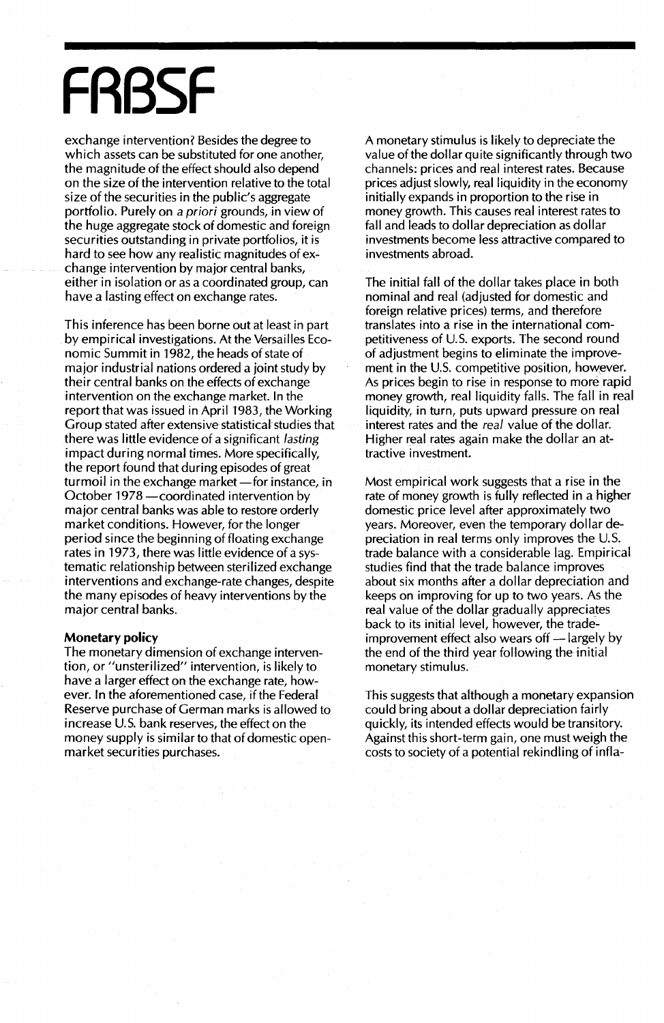# **FRBSF**

exchange intervention? Besides the degree to which assets can be substituted for one another, the magnitude of the effect should also depend on the size of the intervention relative to the total size of the securities in the public's aggregate portfolio. Purely on a *priori* grounds, in view of the huge aggregate stock of domestic and foreign securities outstanding in private portfolios, it is hard to see how any realistic magnitudes of exchange intervention by major central banks, either in isolation or as a coordinated group, can have a lasting effect on exchange rates.

This inference has been borne out at least in part by empirical investigations. At the Versailles Economic Summit in 1982, the heads of state of major industrial nations ordered a joint study by their central banks on the effects of exchange intervention on the exchange market. In the report that was issued in April 1983, the Working Group stated after extensive statistical studies that there was little evidence of a significant *lasting* impact during normal times. More specifically, the report found that during episodes of great turmoil in the exchange market-for instance, in October 1978 - coordinated intervention by major central banks was able to restore orderly market conditions. However, for the longer period since the beginning of floating exchange rates in 1973, there was little evidence of a systematic relationship between sterilized exchange interventions and exchange-rate changes, despite the many episodes of heavy interventions by the major central banks.

#### **Monetary policy**

The monetary dimension of exchange intervention, or "unsterilized" intervention, is likely to have a larger effect on the exchange rate, however. In the aforementioned case, if the Federal Reserve purchase of German marks is allowed to increase U.S. bank reserves, the effect on the money supply is similar to that of domestic openmarket securities purchases.

A monetary stimulus is likely to depreciate the value of the dollar quite significantly through two channels: prices and real interest rates. Because prices adjust slowly, real liquidity in the economy initially expands in proportion to the rise in money growth. This causes real interest rates to fall and leads to dollar depreciation as dollar investments become less attractive compared to investments abroad.

The initial fall of the dollar takes place in both nominal and real (adjusted for domestic and foreign relative prices) terms, and therefore translates into a rise in the international competitiveness of U.S. exports. The second round of adjustment begins to eliminate the improvement in the U.S. competitive position, however. As prices begin to rise in response to more rapid money growth, real liquidity falls. The fall in real liquidity, in turn, puts upward pressure on real interest rates and the *real* value of the dollar. Higher real rates again make the dollar an attractive investment.

Most empirical work suggests that a rise in the rate of money growth is fully reflected in a higher domestic price level after approximately two years. Moreover, even the temporary dollar depreciation in real terms only improves the U.S. trade balance with a considerable lag. Empirical studies find that the trade balance improves about six months after a dollar depreciation and keeps on improving for up to two years. As the real value of the dollar gradually appreciates back to its initial level, however, the tradeimprovement effect also wears off  $-$  largely by the end of the third year following the initial monetary stimulus.

This suggests that although a monetary expansion could bring about a dollar depreciation fairly quickly, its intended effects would be transitory. Against this short-term gain, one must weigh the costs to society of a potential rekindling of infla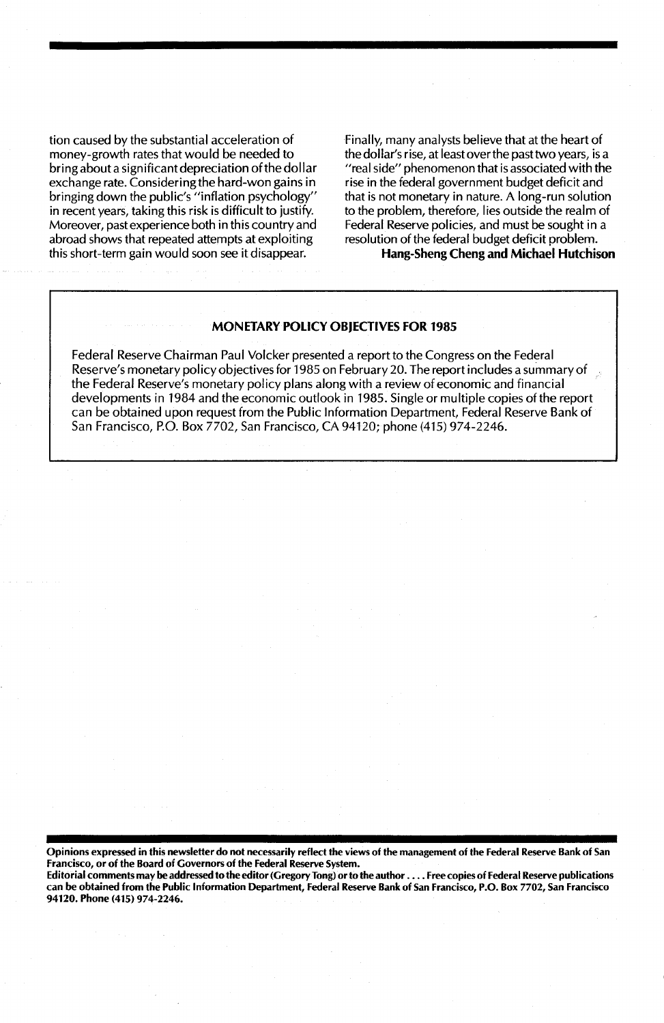tion caused by the substantial acceleration of money-growth rates that would be needed to bring about a significant depreciation of the dollar exchange rate. Considering the hard-won gains in bringing down the public's "inflation psychology" in recent years, taking this risk is difficult to justify. Moreover, past experience both in this country and abroad shows that repeated attempts at exploiting this short-term gain would soon see it disappear.

Finally, many analysts bel ieve that at the heart of the dollar's rise, at least overthe past two years, is a "real side" phenomenon that is associated with the rise in the federal government budget deficit and that is not monetary in nature. A long-run solution to the problem, therefore, lies outside the realm of Federal Reserve policies, and must be sought in a resolution of the federal budget deficit problem.

Hang-Sheng Cheng and Michael Hutchison

#### MONETARY POLICY OBJECTIVES FOR 1985

Federal Reserve Chairman Paul Volcker presented a report to the Congress on the Federal Reserve's monetary policy objectives for 1985 on February 20. The report includes a summary of the Federal Reserve's monetary policy plans along with a review of economic and financial developments in 1984 and the economic outlook in 1985. Single or multiple copies of the report can be obtained upon request from the Public Information Department, Federal Reserve Bank of San Francisco, P.O. Box 7702, San Francisco, CA 94120; phone (415) 974-2246.

Opinions expressed in this newsletter do not necessarily reflect the views of the management of the Federal Reserve Bank of San Francisco, or of the Board of Governors of the Federal Reserve System.

Editorial comments may be addressed to the editor (Gregory Tong) orto the author .... Free copies of Federal Reserve publications can be obtained from the Public Information Department, Federal Reserve Bank of San Francisco, P.O. Box 7702, San Francisco 94120. Phone (415) 974-2246.